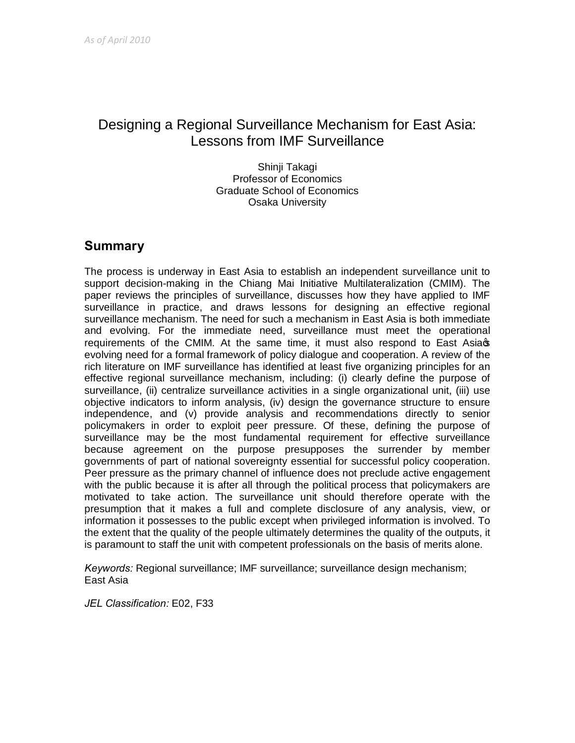# Designing a Regional Surveillance Mechanism for East Asia: Lessons from IMF Surveillance

Shinji Takagi Professor of Economics Graduate School of Economics Osaka University

#### **Summary**

The process is underway in East Asia to establish an independent surveillance unit to support decision-making in the Chiang Mai Initiative Multilateralization (CMIM). The paper reviews the principles of surveillance, discusses how they have applied to IMF surveillance in practice, and draws lessons for designing an effective regional surveillance mechanism. The need for such a mechanism in East Asia is both immediate and evolving. For the immediate need, surveillance must meet the operational requirements of the CMIM. At the same time, it must also respond to East Asia  $\infty$ evolving need for a formal framework of policy dialogue and cooperation. A review of the rich literature on IMF surveillance has identified at least five organizing principles for an effective regional surveillance mechanism, including: (i) clearly define the purpose of surveillance, (ii) centralize surveillance activities in a single organizational unit, (iii) use objective indicators to inform analysis, (iv) design the governance structure to ensure independence, and (v) provide analysis and recommendations directly to senior policymakers in order to exploit peer pressure. Of these, defining the purpose of surveillance may be the most fundamental requirement for effective surveillance because agreement on the purpose presupposes the surrender by member governments of part of national sovereignty essential for successful policy cooperation. Peer pressure as the primary channel of influence does not preclude active engagement with the public because it is after all through the political process that policymakers are motivated to take action. The surveillance unit should therefore operate with the presumption that it makes a full and complete disclosure of any analysis, view, or information it possesses to the public except when privileged information is involved. To the extent that the quality of the people ultimately determines the quality of the outputs, it is paramount to staff the unit with competent professionals on the basis of merits alone.

*Keywords:* Regional surveillance; IMF surveillance; surveillance design mechanism; East Asia

*JEL Classification:* E02, F33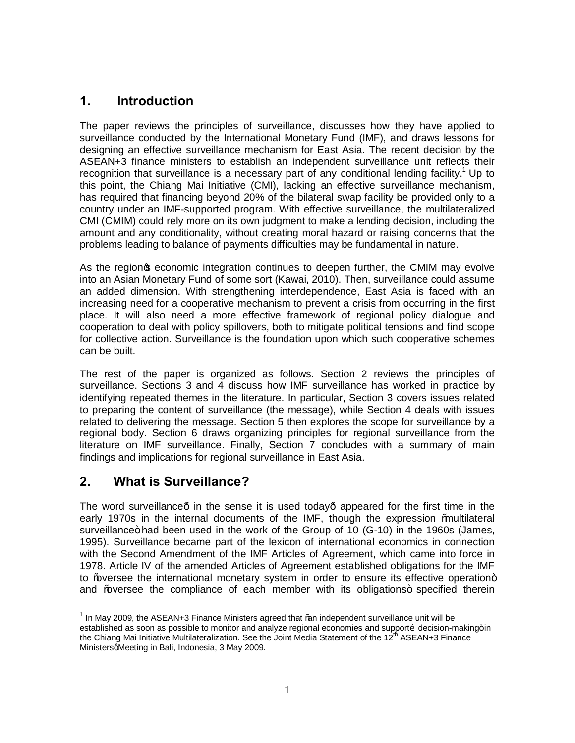## **1. Introduction**

The paper reviews the principles of surveillance, discusses how they have applied to surveillance conducted by the International Monetary Fund (IMF), and draws lessons for designing an effective surveillance mechanism for East Asia. The recent decision by the ASEAN+3 finance ministers to establish an independent surveillance unit reflects their recognition that surveillance is a necessary part of any conditional lending facility.<sup>1</sup> Up to this point, the Chiang Mai Initiative (CMI), lacking an effective surveillance mechanism, has required that financing beyond 20% of the bilateral swap facility be provided only to a country under an IMF-supported program. With effective surveillance, the multilateralized CMI (CMIM) could rely more on its own judgment to make a lending decision, including the amount and any conditionality, without creating moral hazard or raising concerns that the problems leading to balance of payments difficulties may be fundamental in nature.

As the region peconomic integration continues to deepen further, the CMIM may evolve into an Asian Monetary Fund of some sort (Kawai, 2010). Then, surveillance could assume an added dimension. With strengthening interdependence, East Asia is faced with an increasing need for a cooperative mechanism to prevent a crisis from occurring in the first place. It will also need a more effective framework of regional policy dialogue and cooperation to deal with policy spillovers, both to mitigate political tensions and find scope for collective action. Surveillance is the foundation upon which such cooperative schemes can be built.

The rest of the paper is organized as follows. Section 2 reviews the principles of surveillance. Sections 3 and 4 discuss how IMF surveillance has worked in practice by identifying repeated themes in the literature. In particular, Section 3 covers issues related to preparing the content of surveillance (the message), while Section 4 deals with issues related to delivering the message. Section 5 then explores the scope for surveillance by a regional body. Section 6 draws organizing principles for regional surveillance from the literature on IMF surveillance. Finally, Section 7 concludes with a summary of main findings and implications for regional surveillance in East Asia.

#### **2. What is Surveillance?**

The word surveillance  $\cdot$  in the sense it is used today $\cdot$  appeared for the first time in the early 1970s in the internal documents of the IMF, though the expression % aultilateral surveillance + had been used in the work of the Group of 10 (G-10) in the 1960s (James, 1995). Surveillance became part of the lexicon of international economics in connection with the Second Amendment of the IMF Articles of Agreement, which came into force in 1978. Article IV of the amended Articles of Agreement established obligations for the IMF to % wersee the international monetary system in order to ensure its effective operation+ and ‰versee the compliance of each member with its obligations+ specified therein

 $<sup>1</sup>$  In May 2009, the ASEAN+3 Finance Ministers agreed that ‰m independent surveillance unit will be</sup> established as soon as possible to monitor and analyze regional economies and supportõ decision-making+in the Chiang Mai Initiative Multilateralization. See the Joint Media Statement of the 12<sup>th</sup> ASEAN+3 Finance MinistersgMeeting in Bali, Indonesia, 3 May 2009.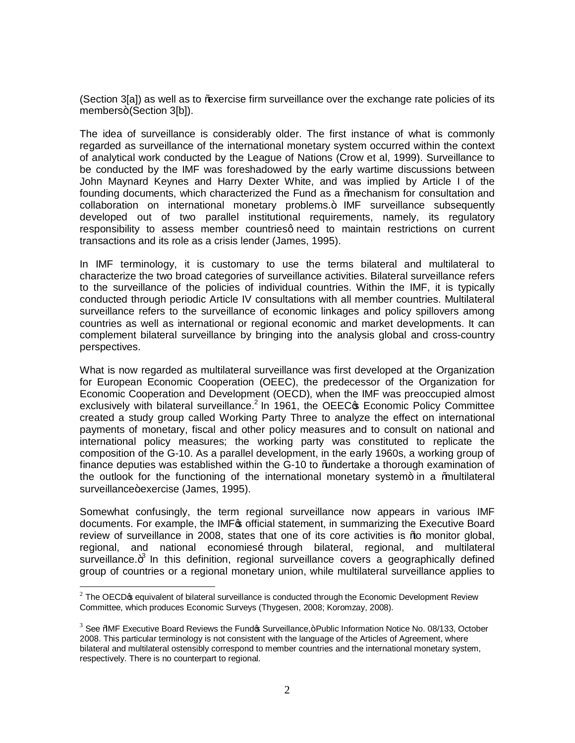(Section 3[a]) as well as to ‰ ercise firm surveillance over the exchange rate policies of its members+(Section 3[b]).

The idea of surveillance is considerably older. The first instance of what is commonly regarded as surveillance of the international monetary system occurred within the context of analytical work conducted by the League of Nations (Crow et al, 1999). Surveillance to be conducted by the IMF was foreshadowed by the early wartime discussions between John Maynard Keynes and Harry Dexter White, and was implied by Article I of the founding documents, which characterized the Fund as a % aechanism for consultation and collaboration on international monetary problems.+ IMF surveillance subsequently developed out of two parallel institutional requirements, namely, its regulatory responsibility to assess member countriesq need to maintain restrictions on current transactions and its role as a crisis lender (James, 1995).

In IMF terminology, it is customary to use the terms bilateral and multilateral to characterize the two broad categories of surveillance activities. Bilateral surveillance refers to the surveillance of the policies of individual countries. Within the IMF, it is typically conducted through periodic Article IV consultations with all member countries. Multilateral surveillance refers to the surveillance of economic linkages and policy spillovers among countries as well as international or regional economic and market developments. It can complement bilateral surveillance by bringing into the analysis global and cross-country perspectives.

What is now regarded as multilateral surveillance was first developed at the Organization for European Economic Cooperation (OEEC), the predecessor of the Organization for Economic Cooperation and Development (OECD), when the IMF was preoccupied almost exclusively with bilateral surveillance.<sup>2</sup> In 1961, the OEEC $\Phi$  Economic Policy Committee created a study group called Working Party Three to analyze the effect on international payments of monetary, fiscal and other policy measures and to consult on national and international policy measures; the working party was constituted to replicate the composition of the G-10. As a parallel development, in the early 1960s, a working group of finance deputies was established within the G-10 to % undertake a thorough examination of the outlook for the functioning of the international monetary system $+$  in a  $%$  multilateral surveillance+exercise (James, 1995).

Somewhat confusingly, the term regional surveillance now appears in various IMF documents. For example, the IMF<sub>®</sub> official statement, in summarizing the Executive Board review of surveillance in 2008, states that one of its core activities is "to monitor global, regional, and national economieso through bilateral, regional, and multilateral surveillance. $+^3$  In this definition, regional surveillance covers a geographically defined group of countries or a regional monetary union, while multilateral surveillance applies to

 $2$  The OECD $\sigma$  equivalent of bilateral surveillance is conducted through the Economic Development Review Committee, which produces Economic Surveys (Thygesen, 2008; Koromzay, 2008).

 $3$  See %MF Executive Board Reviews the Fund  $\boldsymbol{\mathfrak{s}}$  Surveillance, + Public Information Notice No. 08/133, October 2008. This particular terminology is not consistent with the language of the Articles of Agreement, where bilateral and multilateral ostensibly correspond to member countries and the international monetary system, respectively. There is no counterpart to regional.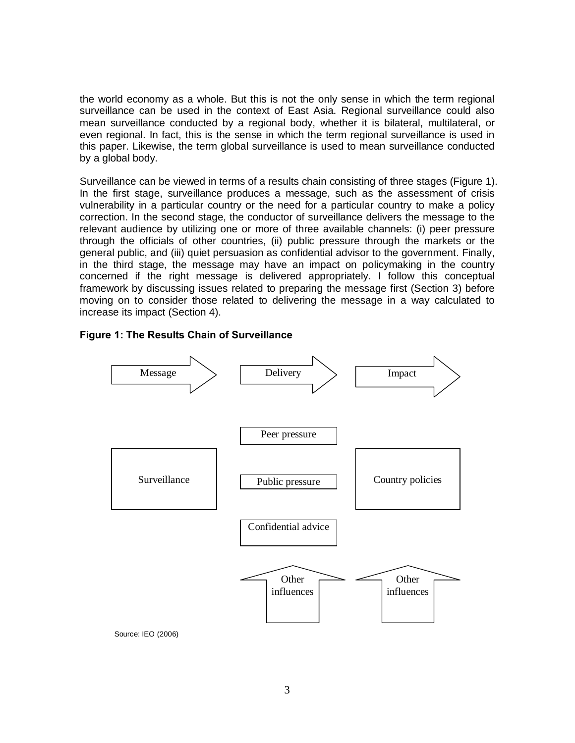the world economy as a whole. But this is not the only sense in which the term regional surveillance can be used in the context of East Asia. Regional surveillance could also mean surveillance conducted by a regional body, whether it is bilateral, multilateral, or even regional. In fact, this is the sense in which the term regional surveillance is used in this paper. Likewise, the term global surveillance is used to mean surveillance conducted by a global body.

Surveillance can be viewed in terms of a results chain consisting of three stages (Figure 1). In the first stage, surveillance produces a message, such as the assessment of crisis vulnerability in a particular country or the need for a particular country to make a policy correction. In the second stage, the conductor of surveillance delivers the message to the relevant audience by utilizing one or more of three available channels: (i) peer pressure through the officials of other countries, (ii) public pressure through the markets or the general public, and (iii) quiet persuasion as confidential advisor to the government. Finally, in the third stage, the message may have an impact on policymaking in the country concerned if the right message is delivered appropriately. I follow this conceptual framework by discussing issues related to preparing the message first (Section 3) before moving on to consider those related to delivering the message in a way calculated to increase its impact (Section 4).

#### **Figure 1: The Results Chain of Surveillance**



Source: IEO (2006)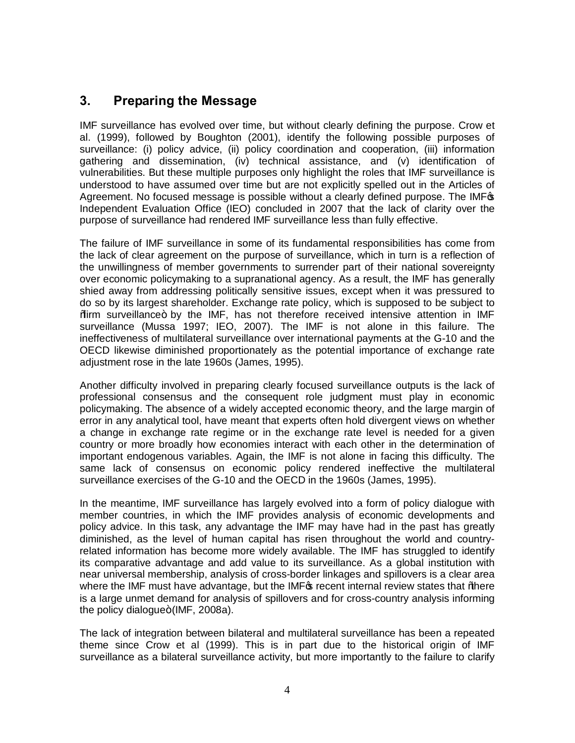## **3. Preparing the Message**

IMF surveillance has evolved over time, but without clearly defining the purpose. Crow et al. (1999), followed by Boughton (2001), identify the following possible purposes of surveillance: (i) policy advice, (ii) policy coordination and cooperation, (iii) information gathering and dissemination, (iv) technical assistance, and (v) identification of vulnerabilities. But these multiple purposes only highlight the roles that IMF surveillance is understood to have assumed over time but are not explicitly spelled out in the Articles of Agreement. No focused message is possible without a clearly defined purpose. The IMF<sub>3</sub> Independent Evaluation Office (IEO) concluded in 2007 that the lack of clarity over the purpose of surveillance had rendered IMF surveillance less than fully effective.

The failure of IMF surveillance in some of its fundamental responsibilities has come from the lack of clear agreement on the purpose of surveillance, which in turn is a reflection of the unwillingness of member governments to surrender part of their national sovereignty over economic policymaking to a supranational agency. As a result, the IMF has generally shied away from addressing politically sensitive issues, except when it was pressured to do so by its largest shareholder. Exchange rate policy, which is supposed to be subject to %irm surveillance+ by the IMF, has not therefore received intensive attention in IMF surveillance (Mussa 1997; IEO, 2007). The IMF is not alone in this failure. The ineffectiveness of multilateral surveillance over international payments at the G-10 and the OECD likewise diminished proportionately as the potential importance of exchange rate adjustment rose in the late 1960s (James, 1995).

Another difficulty involved in preparing clearly focused surveillance outputs is the lack of professional consensus and the consequent role judgment must play in economic policymaking. The absence of a widely accepted economic theory, and the large margin of error in any analytical tool, have meant that experts often hold divergent views on whether a change in exchange rate regime or in the exchange rate level is needed for a given country or more broadly how economies interact with each other in the determination of important endogenous variables. Again, the IMF is not alone in facing this difficulty. The same lack of consensus on economic policy rendered ineffective the multilateral surveillance exercises of the G-10 and the OECD in the 1960s (James, 1995).

In the meantime, IMF surveillance has largely evolved into a form of policy dialogue with member countries, in which the IMF provides analysis of economic developments and policy advice. In this task, any advantage the IMF may have had in the past has greatly diminished, as the level of human capital has risen throughout the world and countryrelated information has become more widely available. The IMF has struggled to identify its comparative advantage and add value to its surveillance. As a global institution with near universal membership, analysis of cross-border linkages and spillovers is a clear area where the IMF must have advantage, but the IMF<sub>G</sub> recent internal review states that *%here* is a large unmet demand for analysis of spillovers and for cross-country analysis informing the policy dialogue $+(IMF, 2008a)$ .

The lack of integration between bilateral and multilateral surveillance has been a repeated theme since Crow et al (1999). This is in part due to the historical origin of IMF surveillance as a bilateral surveillance activity, but more importantly to the failure to clarify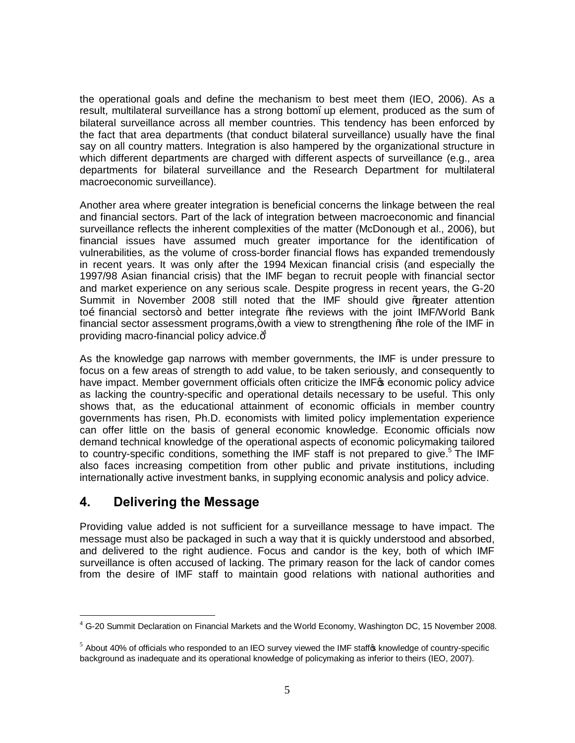the operational goals and define the mechanism to best meet them (IEO, 2006). As a result, multilateral surveillance has a strong bottom, up element, produced as the sum of bilateral surveillance across all member countries. This tendency has been enforced by the fact that area departments (that conduct bilateral surveillance) usually have the final say on all country matters. Integration is also hampered by the organizational structure in which different departments are charged with different aspects of surveillance (e.g., area departments for bilateral surveillance and the Research Department for multilateral macroeconomic surveillance).

Another area where greater integration is beneficial concerns the linkage between the real and financial sectors. Part of the lack of integration between macroeconomic and financial surveillance reflects the inherent complexities of the matter (McDonough et al., 2006), but financial issues have assumed much greater importance for the identification of vulnerabilities, as the volume of cross-border financial flows has expanded tremendously in recent years. It was only after the 1994 Mexican financial crisis (and especially the 1997/98 Asian financial crisis) that the IMF began to recruit people with financial sector and market experience on any serious scale. Despite progress in recent years, the G-20 Summit in November 2008 still noted that the IMF should give %preater attention to financial sectors+ and better integrate % be reviews with the joint IMF/World Bank financial sector assessment programs, + with a view to strengthening "the role of the IMF in providing macro-financial policy advice. $4^4$ 

As the knowledge gap narrows with member governments, the IMF is under pressure to focus on a few areas of strength to add value, to be taken seriously, and consequently to have impact. Member government officials often criticize the IMF<sub>®</sub> economic policy advice as lacking the country-specific and operational details necessary to be useful. This only shows that, as the educational attainment of economic officials in member country governments has risen, Ph.D. economists with limited policy implementation experience can offer little on the basis of general economic knowledge. Economic officials now demand technical knowledge of the operational aspects of economic policymaking tailored to country-specific conditions, something the IMF staff is not prepared to give.<sup>5</sup> The IMF also faces increasing competition from other public and private institutions, including internationally active investment banks, in supplying economic analysis and policy advice.

#### **4. Delivering the Message**

Providing value added is not sufficient for a surveillance message to have impact. The message must also be packaged in such a way that it is quickly understood and absorbed, and delivered to the right audience. Focus and candor is the key, both of which IMF surveillance is often accused of lacking. The primary reason for the lack of candor comes from the desire of IMF staff to maintain good relations with national authorities and

<sup>&</sup>lt;sup>4</sup> G-20 Summit Declaration on Financial Markets and the World Economy, Washington DC, 15 November 2008.

 $5$  About 40% of officials who responded to an IEO survey viewed the IMF staff $\phi$  knowledge of country-specific background as inadequate and its operational knowledge of policymaking as inferior to theirs (IEO, 2007).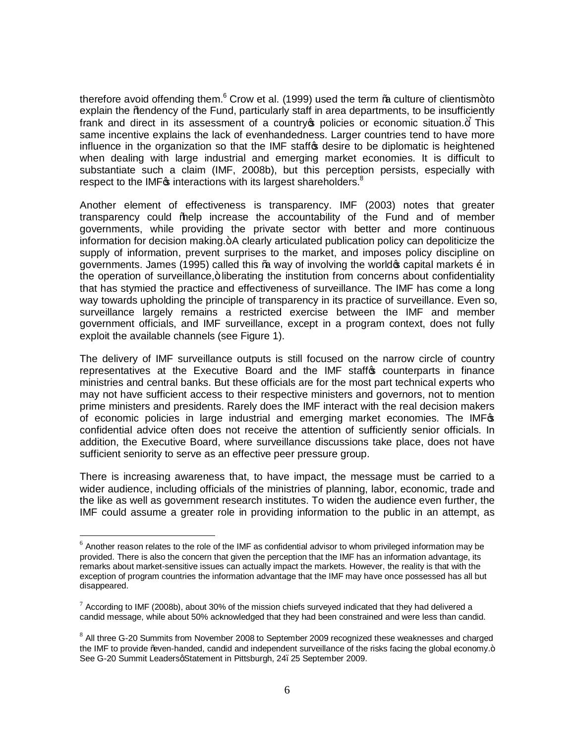therefore avoid offending them. $6$  Crow et al. (1999) used the term  $%$  culture of clientism+to explain the % endency of the Fund, particularly staff in area departments, to be insufficiently frank and direct in its assessment of a country policies or economic situation. $\frac{1}{f}$  This same incentive explains the lack of evenhandedness. Larger countries tend to have more influence in the organization so that the IMF staffos desire to be diplomatic is heightened when dealing with large industrial and emerging market economies. It is difficult to substantiate such a claim (IMF, 2008b), but this perception persists, especially with respect to the IMF<sub>C</sub>s interactions with its largest shareholders.<sup>8</sup>

Another element of effectiveness is transparency. IMF (2003) notes that greater transparency could "help increase the accountability of the Fund and of member governments, while providing the private sector with better and more continuous information for decision making. + A clearly articulated publication policy can depoliticize the supply of information, prevent surprises to the market, and imposes policy discipline on governments. James (1995) called this  $%$  way of involving the world  $\sigma$  capital markets  $\tilde{o}$  in the operation of surveillance, + liberating the institution from concerns about confidentiality that has stymied the practice and effectiveness of surveillance. The IMF has come a long way towards upholding the principle of transparency in its practice of surveillance. Even so, surveillance largely remains a restricted exercise between the IMF and member government officials, and IMF surveillance, except in a program context, does not fully exploit the available channels (see Figure 1).

The delivery of IMF surveillance outputs is still focused on the narrow circle of country representatives at the Executive Board and the IMF staffos counterparts in finance ministries and central banks. But these officials are for the most part technical experts who may not have sufficient access to their respective ministers and governors, not to mention prime ministers and presidents. Rarely does the IMF interact with the real decision makers of economic policies in large industrial and emerging market economies. The IMFG confidential advice often does not receive the attention of sufficiently senior officials. In addition, the Executive Board, where surveillance discussions take place, does not have sufficient seniority to serve as an effective peer pressure group.

There is increasing awareness that, to have impact, the message must be carried to a wider audience, including officials of the ministries of planning, labor, economic, trade and the like as well as government research institutes. To widen the audience even further, the IMF could assume a greater role in providing information to the public in an attempt, as

 $6$  Another reason relates to the role of the IMF as confidential advisor to whom privileged information may be provided. There is also the concern that given the perception that the IMF has an information advantage, its remarks about market-sensitive issues can actually impact the markets. However, the reality is that with the exception of program countries the information advantage that the IMF may have once possessed has all but disappeared.

 $7$  According to IMF (2008b), about 30% of the mission chiefs surveyed indicated that they had delivered a candid message, while about 50% acknowledged that they had been constrained and were less than candid.

<sup>&</sup>lt;sup>8</sup> All three G-20 Summits from November 2008 to September 2009 recognized these weaknesses and charged the IMF to provide "wen-handed, candid and independent surveillance of the risks facing the global economy.+ See G-20 Summit LeadersgStatement in Pittsburgh, 24. 25 September 2009.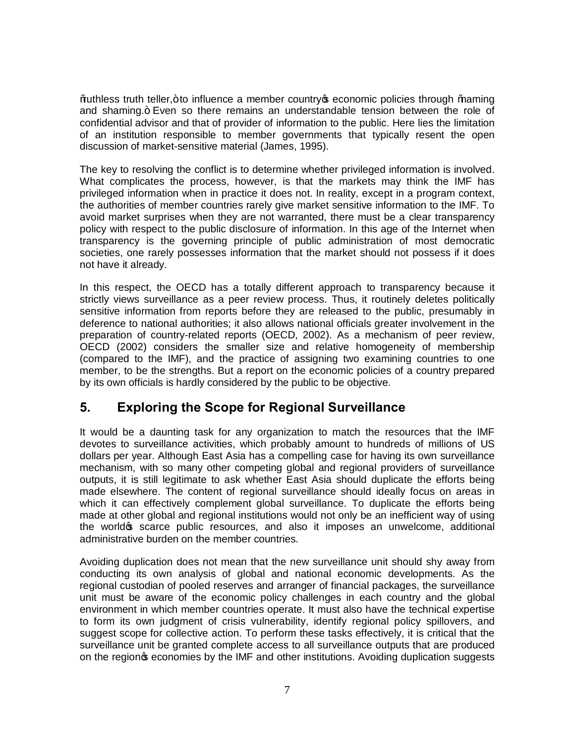"ruthless truth teller," to influence a member country's economic policies through "naming and shaming.+ Even so there remains an understandable tension between the role of confidential advisor and that of provider of information to the public. Here lies the limitation of an institution responsible to member governments that typically resent the open discussion of market-sensitive material (James, 1995).

The key to resolving the conflict is to determine whether privileged information is involved. What complicates the process, however, is that the markets may think the IMF has privileged information when in practice it does not. In reality, except in a program context, the authorities of member countries rarely give market sensitive information to the IMF. To avoid market surprises when they are not warranted, there must be a clear transparency policy with respect to the public disclosure of information. In this age of the Internet when transparency is the governing principle of public administration of most democratic societies, one rarely possesses information that the market should not possess if it does not have it already.

In this respect, the OECD has a totally different approach to transparency because it strictly views surveillance as a peer review process. Thus, it routinely deletes politically sensitive information from reports before they are released to the public, presumably in deference to national authorities; it also allows national officials greater involvement in the preparation of country-related reports (OECD, 2002). As a mechanism of peer review, OECD (2002) considers the smaller size and relative homogeneity of membership (compared to the IMF), and the practice of assigning two examining countries to one member, to be the strengths. But a report on the economic policies of a country prepared by its own officials is hardly considered by the public to be objective.

## **5. Exploring the Scope for Regional Surveillance**

It would be a daunting task for any organization to match the resources that the IMF devotes to surveillance activities, which probably amount to hundreds of millions of US dollars per year. Although East Asia has a compelling case for having its own surveillance mechanism, with so many other competing global and regional providers of surveillance outputs, it is still legitimate to ask whether East Asia should duplicate the efforts being made elsewhere. The content of regional surveillance should ideally focus on areas in which it can effectively complement global surveillance. To duplicate the efforts being made at other global and regional institutions would not only be an inefficient way of using the world of scarce public resources, and also it imposes an unwelcome, additional administrative burden on the member countries.

Avoiding duplication does not mean that the new surveillance unit should shy away from conducting its own analysis of global and national economic developments. As the regional custodian of pooled reserves and arranger of financial packages, the surveillance unit must be aware of the economic policy challenges in each country and the global environment in which member countries operate. It must also have the technical expertise to form its own judgment of crisis vulnerability, identify regional policy spillovers, and suggest scope for collective action. To perform these tasks effectively, it is critical that the surveillance unit be granted complete access to all surveillance outputs that are produced on the region of economies by the IMF and other institutions. Avoiding duplication suggests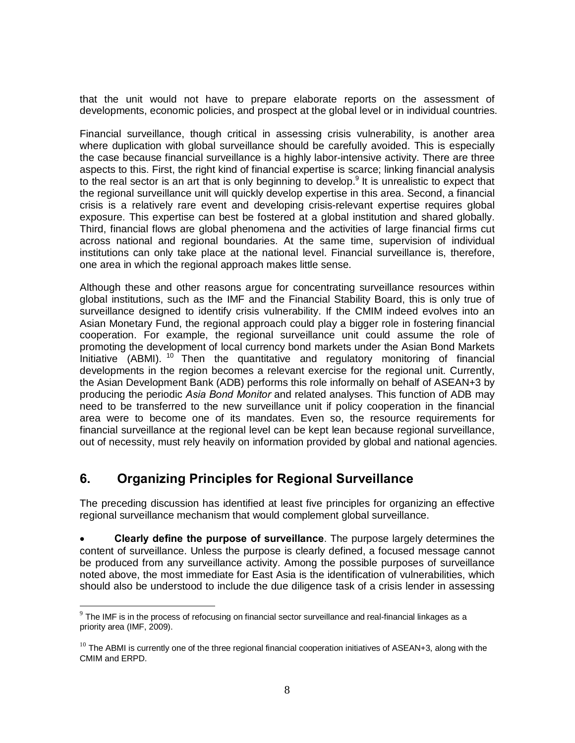that the unit would not have to prepare elaborate reports on the assessment of developments, economic policies, and prospect at the global level or in individual countries.

Financial surveillance, though critical in assessing crisis vulnerability, is another area where duplication with global surveillance should be carefully avoided. This is especially the case because financial surveillance is a highly labor-intensive activity. There are three aspects to this. First, the right kind of financial expertise is scarce; linking financial analysis to the real sector is an art that is only beginning to develop.<sup>9</sup> It is unrealistic to expect that the regional surveillance unit will quickly develop expertise in this area. Second, a financial crisis is a relatively rare event and developing crisis-relevant expertise requires global exposure. This expertise can best be fostered at a global institution and shared globally. Third, financial flows are global phenomena and the activities of large financial firms cut across national and regional boundaries. At the same time, supervision of individual institutions can only take place at the national level. Financial surveillance is, therefore, one area in which the regional approach makes little sense.

Although these and other reasons argue for concentrating surveillance resources within global institutions, such as the IMF and the Financial Stability Board, this is only true of surveillance designed to identify crisis vulnerability. If the CMIM indeed evolves into an Asian Monetary Fund, the regional approach could play a bigger role in fostering financial cooperation. For example, the regional surveillance unit could assume the role of promoting the development of local currency bond markets under the Asian Bond Markets Initiative (ABMI). <sup>10</sup> Then the quantitative and regulatory monitoring of financial developments in the region becomes a relevant exercise for the regional unit. Currently, the Asian Development Bank (ADB) performs this role informally on behalf of ASEAN+3 by producing the periodic *Asia Bond Monitor* and related analyses. This function of ADB may need to be transferred to the new surveillance unit if policy cooperation in the financial area were to become one of its mandates. Even so, the resource requirements for financial surveillance at the regional level can be kept lean because regional surveillance, out of necessity, must rely heavily on information provided by global and national agencies.

#### **6. Organizing Principles for Regional Surveillance**

The preceding discussion has identified at least five principles for organizing an effective regional surveillance mechanism that would complement global surveillance.

· **Clearly define the purpose of surveillance**. The purpose largely determines the content of surveillance. Unless the purpose is clearly defined, a focused message cannot be produced from any surveillance activity. Among the possible purposes of surveillance noted above, the most immediate for East Asia is the identification of vulnerabilities, which should also be understood to include the due diligence task of a crisis lender in assessing

 $9$  The IMF is in the process of refocusing on financial sector surveillance and real-financial linkages as a priority area (IMF, 2009).

 $10$  The ABMI is currently one of the three regional financial cooperation initiatives of ASEAN+3, along with the CMIM and ERPD.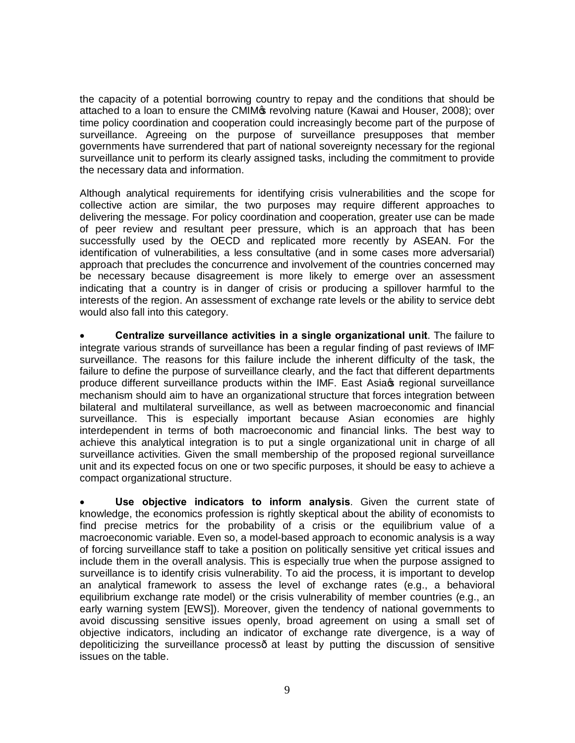the capacity of a potential borrowing country to repay and the conditions that should be attached to a loan to ensure the CMIM<sub>P</sub> revolving nature (Kawai and Houser, 2008); over time policy coordination and cooperation could increasingly become part of the purpose of surveillance. Agreeing on the purpose of surveillance presupposes that member governments have surrendered that part of national sovereignty necessary for the regional surveillance unit to perform its clearly assigned tasks, including the commitment to provide the necessary data and information.

Although analytical requirements for identifying crisis vulnerabilities and the scope for collective action are similar, the two purposes may require different approaches to delivering the message. For policy coordination and cooperation, greater use can be made of peer review and resultant peer pressure, which is an approach that has been successfully used by the OECD and replicated more recently by ASEAN. For the identification of vulnerabilities, a less consultative (and in some cases more adversarial) approach that precludes the concurrence and involvement of the countries concerned may be necessary because disagreement is more likely to emerge over an assessment indicating that a country is in danger of crisis or producing a spillover harmful to the interests of the region. An assessment of exchange rate levels or the ability to service debt would also fall into this category.

· **Centralize surveillance activities in a single organizational unit**. The failure to integrate various strands of surveillance has been a regular finding of past reviews of IMF surveillance. The reasons for this failure include the inherent difficulty of the task, the failure to define the purpose of surveillance clearly, and the fact that different departments produce different surveillance products within the IMF. East Asia t regional surveillance mechanism should aim to have an organizational structure that forces integration between bilateral and multilateral surveillance, as well as between macroeconomic and financial surveillance. This is especially important because Asian economies are highly interdependent in terms of both macroeconomic and financial links. The best way to achieve this analytical integration is to put a single organizational unit in charge of all surveillance activities. Given the small membership of the proposed regional surveillance unit and its expected focus on one or two specific purposes, it should be easy to achieve a compact organizational structure.

· **Use objective indicators to inform analysis**. Given the current state of knowledge, the economics profession is rightly skeptical about the ability of economists to find precise metrics for the probability of a crisis or the equilibrium value of a macroeconomic variable. Even so, a model-based approach to economic analysis is a way of forcing surveillance staff to take a position on politically sensitive yet critical issues and include them in the overall analysis. This is especially true when the purpose assigned to surveillance is to identify crisis vulnerability. To aid the process, it is important to develop an analytical framework to assess the level of exchange rates (e.g., a behavioral equilibrium exchange rate model) or the crisis vulnerability of member countries (e.g., an early warning system [EWS]). Moreover, given the tendency of national governments to avoid discussing sensitive issues openly, broad agreement on using a small set of objective indicators, including an indicator of exchange rate divergence, is a way of depoliticizing the surveillance process at least by putting the discussion of sensitive issues on the table.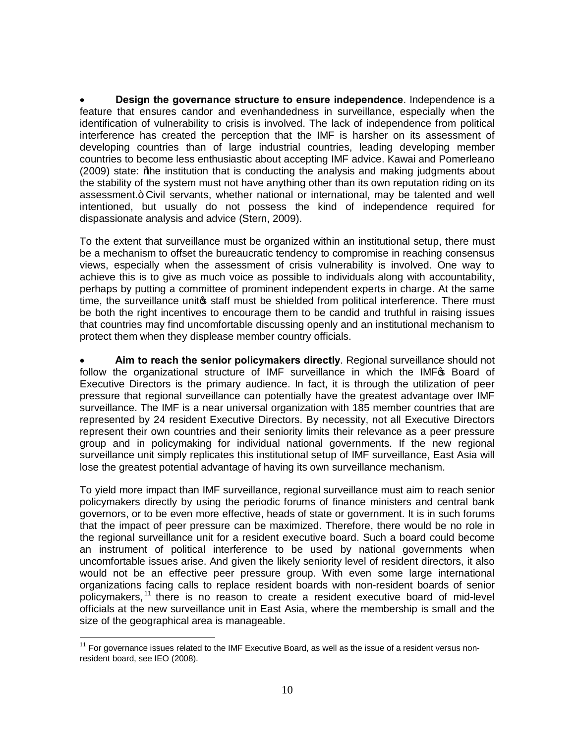· **Design the governance structure to ensure independence**. Independence is a feature that ensures candor and evenhandedness in surveillance, especially when the identification of vulnerability to crisis is involved. The lack of independence from political interference has created the perception that the IMF is harsher on its assessment of developing countries than of large industrial countries, leading developing member countries to become less enthusiastic about accepting IMF advice. Kawai and Pomerleano (2009) state: *Whe* institution that is conducting the analysis and making judgments about the stability of the system must not have anything other than its own reputation riding on its assessment.+ Civil servants, whether national or international, may be talented and well intentioned, but usually do not possess the kind of independence required for dispassionate analysis and advice (Stern, 2009).

To the extent that surveillance must be organized within an institutional setup, there must be a mechanism to offset the bureaucratic tendency to compromise in reaching consensus views, especially when the assessment of crisis vulnerability is involved. One way to achieve this is to give as much voice as possible to individuals along with accountability, perhaps by putting a committee of prominent independent experts in charge. At the same time, the surveillance unitos staff must be shielded from political interference. There must be both the right incentives to encourage them to be candid and truthful in raising issues that countries may find uncomfortable discussing openly and an institutional mechanism to protect them when they displease member country officials.

· **Aim to reach the senior policymakers directly**. Regional surveillance should not follow the organizational structure of IMF surveillance in which the IMF<sub>®</sub> Board of Executive Directors is the primary audience. In fact, it is through the utilization of peer pressure that regional surveillance can potentially have the greatest advantage over IMF surveillance. The IMF is a near universal organization with 185 member countries that are represented by 24 resident Executive Directors. By necessity, not all Executive Directors represent their own countries and their seniority limits their relevance as a peer pressure group and in policymaking for individual national governments. If the new regional surveillance unit simply replicates this institutional setup of IMF surveillance, East Asia will lose the greatest potential advantage of having its own surveillance mechanism.

To yield more impact than IMF surveillance, regional surveillance must aim to reach senior policymakers directly by using the periodic forums of finance ministers and central bank governors, or to be even more effective, heads of state or government. It is in such forums that the impact of peer pressure can be maximized. Therefore, there would be no role in the regional surveillance unit for a resident executive board. Such a board could become an instrument of political interference to be used by national governments when uncomfortable issues arise. And given the likely seniority level of resident directors, it also would not be an effective peer pressure group. With even some large international organizations facing calls to replace resident boards with non-resident boards of senior policymakers, <sup>11</sup> there is no reason to create a resident executive board of mid-level officials at the new surveillance unit in East Asia, where the membership is small and the size of the geographical area is manageable.

 $11$  For governance issues related to the IMF Executive Board, as well as the issue of a resident versus nonresident board, see IEO (2008).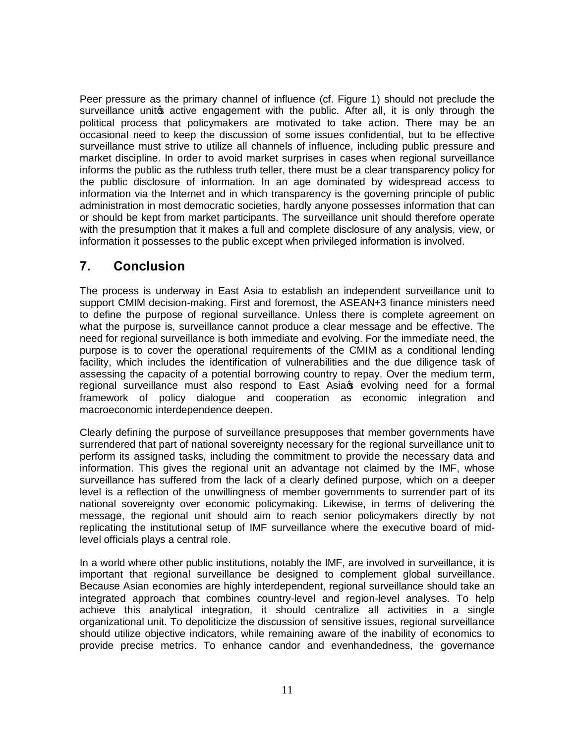Peer pressure as the primary channel of influence (cf. Figure 1) should not preclude the surveillance unitop active engagement with the public. After all, it is only through the political process that policymakers are motivated to take action. There may be an occasional need to keep the discussion of some issues confidential, but to be effective surveillance must strive to utilize all channels of influence, including public pressure and market discipline. In order to avoid market surprises in cases when regional surveillance informs the public as the ruthless truth teller, there must be a clear transparency policy for the public disclosure of information. In an age dominated by widespread access to information via the Internet and in which transparency is the governing principle of public administration in most democratic societies, hardly anyone possesses information that can or should be kept from market participants. The surveillance unit should therefore operate with the presumption that it makes a full and complete disclosure of any analysis, view, or information it possesses to the public except when privileged information is involved.

## **7. Conclusion**

The process is underway in East Asia to establish an independent surveillance unit to support CMIM decision-making. First and foremost, the ASEAN+3 finance ministers need to define the purpose of regional surveillance. Unless there is complete agreement on what the purpose is, surveillance cannot produce a clear message and be effective. The need for regional surveillance is both immediate and evolving. For the immediate need, the purpose is to cover the operational requirements of the CMIM as a conditional lending facility, which includes the identification of vulnerabilities and the due diligence task of assessing the capacity of a potential borrowing country to repay. Over the medium term, regional surveillance must also respond to East Asia we evolving need for a formal framework of policy dialogue and cooperation as economic integration and macroeconomic interdependence deepen.

Clearly defining the purpose of surveillance presupposes that member governments have surrendered that part of national sovereignty necessary for the regional surveillance unit to perform its assigned tasks, including the commitment to provide the necessary data and information. This gives the regional unit an advantage not claimed by the IMF, whose surveillance has suffered from the lack of a clearly defined purpose, which on a deeper level is a reflection of the unwillingness of member governments to surrender part of its national sovereignty over economic policymaking. Likewise, in terms of delivering the message, the regional unit should aim to reach senior policymakers directly by not replicating the institutional setup of IMF surveillance where the executive board of midlevel officials plays a central role.

In a world where other public institutions, notably the IMF, are involved in surveillance, it is important that regional surveillance be designed to complement global surveillance. Because Asian economies are highly interdependent, regional surveillance should take an integrated approach that combines country-level and region-level analyses. To help achieve this analytical integration, it should centralize all activities in a single organizational unit. To depoliticize the discussion of sensitive issues, regional surveillance should utilize objective indicators, while remaining aware of the inability of economics to provide precise metrics. To enhance candor and evenhandedness, the governance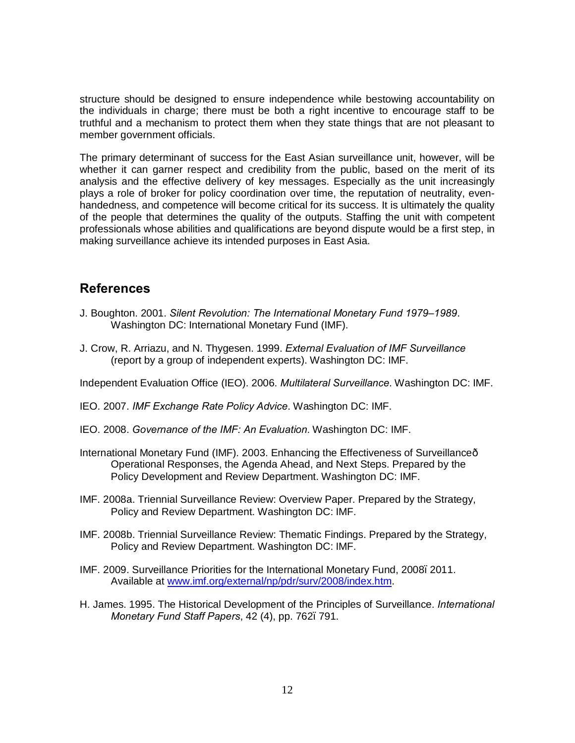structure should be designed to ensure independence while bestowing accountability on the individuals in charge; there must be both a right incentive to encourage staff to be truthful and a mechanism to protect them when they state things that are not pleasant to member government officials.

The primary determinant of success for the East Asian surveillance unit, however, will be whether it can garner respect and credibility from the public, based on the merit of its analysis and the effective delivery of key messages. Especially as the unit increasingly plays a role of broker for policy coordination over time, the reputation of neutrality, evenhandedness, and competence will become critical for its success. It is ultimately the quality of the people that determines the quality of the outputs. Staffing the unit with competent professionals whose abilities and qualifications are beyond dispute would be a first step, in making surveillance achieve its intended purposes in East Asia.

#### **References**

- J. Boughton. 2001. *Silent Revolution: The International Monetary Fund 1979–1989*. Washington DC: International Monetary Fund (IMF).
- J. Crow, R. Arriazu, and N. Thygesen. 1999. *External Evaluation of IMF Surveillance* (report by a group of independent experts). Washington DC: IMF.

Independent Evaluation Office (IEO). 2006. *Multilateral Surveillance*. Washington DC: IMF.

- IEO. 2007. *IMF Exchange Rate Policy Advice*. Washington DC: IMF.
- IEO. 2008. *Governance of the IMF: An Evaluation*. Washington DC: IMF.
- International Monetary Fund (IMF). 2003. Enhancing the Effectiveness of Surveillance— Operational Responses, the Agenda Ahead, and Next Steps. Prepared by the Policy Development and Review Department. Washington DC: IMF.
- IMF. 2008a. Triennial Surveillance Review: Overview Paper. Prepared by the Strategy, Policy and Review Department. Washington DC: IMF.
- IMF. 2008b. Triennial Surveillance Review: Thematic Findings. Prepared by the Strategy, Policy and Review Department. Washington DC: IMF.
- IMF. 2009. Surveillance Priorities for the International Monetary Fund, 2008–2011. Available at [www.imf.org/external/np/pdr/surv/2008/index.htm.](http://www.imf.org/external/np/pdr/surv/2008/index.htm)
- H. James. 1995. The Historical Development of the Principles of Surveillance. *International Monetary Fund Staff Papers*, 42 (4), pp. 762–791.